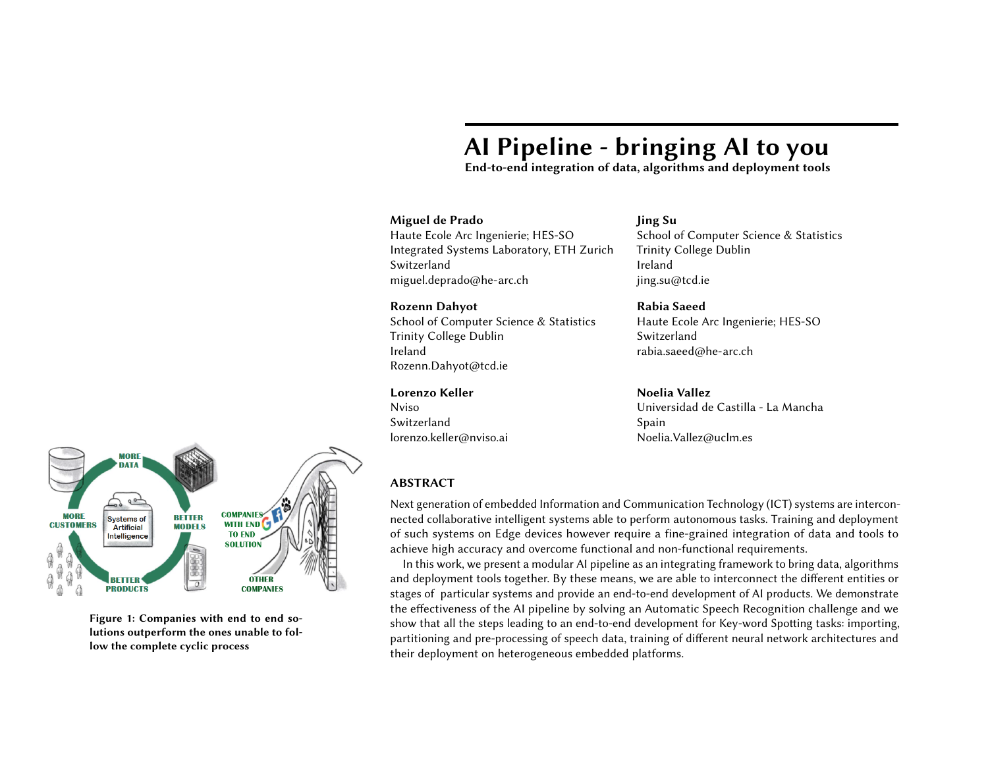# AI Pipeline - bringing AI to you

End-to-end integration of data, algorithms and deployment tools

## Miguel de Prado

Haute Ecole Arc Ingenierie; HES-SO Integrated Systems Laboratory, ETH Zurich Switzerland miguel.deprado@he-arc.ch

#### Rozenn Dahyot

School of Computer Science & Statistics Trinity College Dublin Ireland Rozenn.Dahyot@tcd.ie

## Lorenzo Keller

Nviso Switzerland lorenzo.keller@nviso.ai

# Jing Su

School of Computer Science & Statistics Trinity College Dublin Ireland jing.su@tcd.ie

Rabia Saeed Haute Ecole Arc Ingenierie; HES-SO Switzerland rabia.saeed@he-arc.ch

#### Noelia Vallez

Universidad de Castilla - La Mancha Spain Noelia.Vallez@uclm.es



Figure 1: Companies with end to end solutions outperform the ones unable to follow the complete cyclic process

# ABSTRACT

Next generation of embedded Information and Communication Technology (ICT) systems are interconnected collaborative intelligent systems able to perform autonomous tasks. Training and deployment of such systems on Edge devices however require a fine-grained integration of data and tools to achieve high accuracy and overcome functional and non-functional requirements.

<span id="page-0-0"></span>In this work, we present a modular AI pipeline as an integrating framework to bring data, algorithms and deployment tools together. By these means, we are able to interconnect the different entities or stages of particular systems and provide an end-to-end development of AI products. We demonstrate the effectiveness of the AI pipeline by solving an Automatic Speech Recognition challenge and we show that all the steps leading to an end-to-end development for Key-word Spotting tasks: importing, partitioning and pre-processing of speech data, training of different neural network architectures and their deployment on heterogeneous embedded platforms.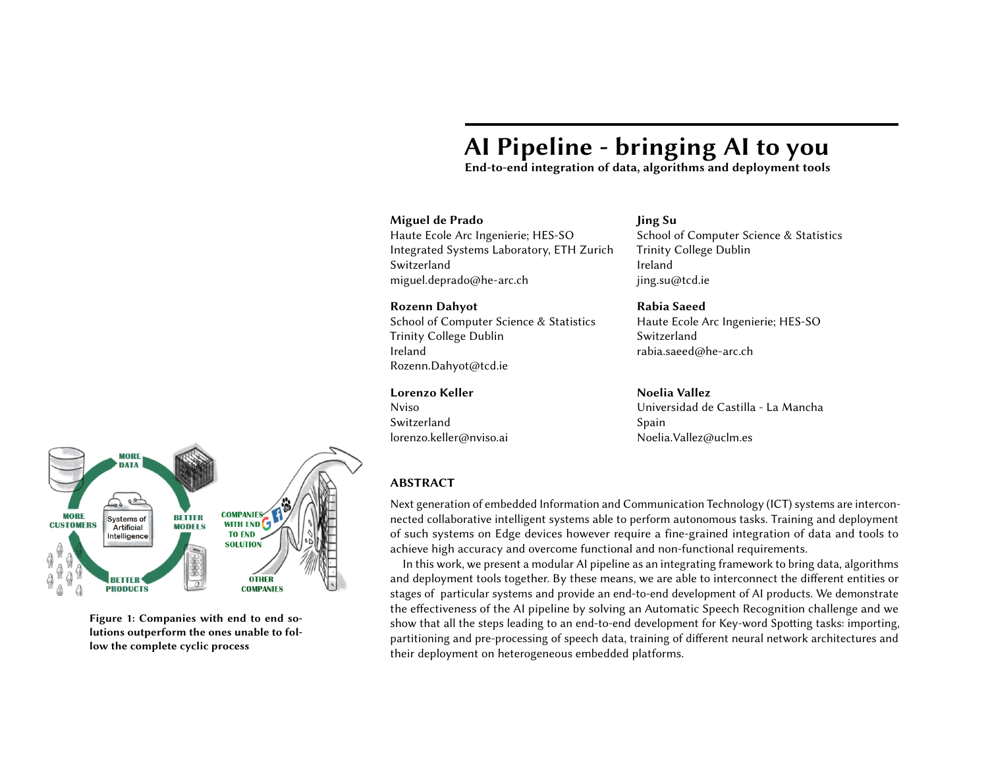

Figure 2: Keyword Spotting (KWS), a special case of ASR, is the process of recognizing predefined words from a speech signal. The process involves converting speech signals into a feature vector that can be used as an input to a model. The model then compares the input to the predefined words and detects their presence.[\[Zhang et al. 2018\]](#page-8-0)

## **KEYWORDS**

AI pipeline, Key-word Spotting, fragmentation

## INTRODUCTION

Artificial Intelligence (AI) is rapidly spreading to embedded and Internet-of-Thing (IoT) devices in a new form of distributed computing systems. Fragmentation of AI knowledge and tools is becoming an issue difficult to overcome for most stakeholders. Only large companies, e.g. Google, Apple, are able to build end-to-end systems where data, algorithms, tools and dedicated hardware are built together and optimized for Deep Learning applications. Such companies are taking the lead of the AI industry partly due to having privileged access to data, see Fig. [1.](#page-0-0)

<span id="page-1-0"></span>Automatic Speech Recognition (ASR) is a classical AI challenge where data, algorithms and hardware must be brought together to perform well. Upon the introduction of Deep Neural Network (DNN) models, speech recognition accuracy has been greatly improved and the word error rate can be as low as 5.5% [\[Saon et al.](#page-8-1) [2017\]](#page-8-1). However, a top score in standard benchmark datasets, e.g., 2000 HUB5 [\[hub 2002\]](#page-8-2), does not guarantee successful ASR deployment in real-world scenarios. Speech source with regional accents has high phonetic variance even in the same word, and expressions in dialects may exceed standard transcription dictionary. These scenarios suppose a great challenge as retraining a recognizer system with large amount of real-user data becomes necessary before the system is deployed. Therefore, only stakeholders that are able to acquire large amounts of data and knowledge, state-of-the-art algorithms and highly optimized tools for deployment are able to overcome such a problem.

Opposed to monolithic and closed solutions, Bonseyes [\[et al. 2017\]](#page-8-3) comes in as a European collaboration to facilitate Deep Learning to any stakeholder and to reduce development time and cost of ownership. Developing AI solutions such as ASR, is a significant engineering and organizational effort that requires large investments as there are significant technological barriers (e.g. ease of usage, fragmentation, reliability). In this context, Bonseyes proposes an AI pipeline framework as a way to overcome these barriers and to provide key benefits such as scalability, reusability, reproducibility and flexibility. We demonstrate the effectiveness of the AI pipeline by applying it to Key-word Spotting (KWS), a special case of ASR challenge, see Fig. [2.](#page-1-0)

## BACKGROUND

We propose an end-to-end AI pipeline to solve four main tasks: data collection, model training, deployment on constraint environment e.g. speech recognition in a car, and IoT integration. More tasks can be added based on the needs of the application. Fragmentation easily occurs between these tasks as each task needs and employ specific formats to operate. The AI pipeline allows to link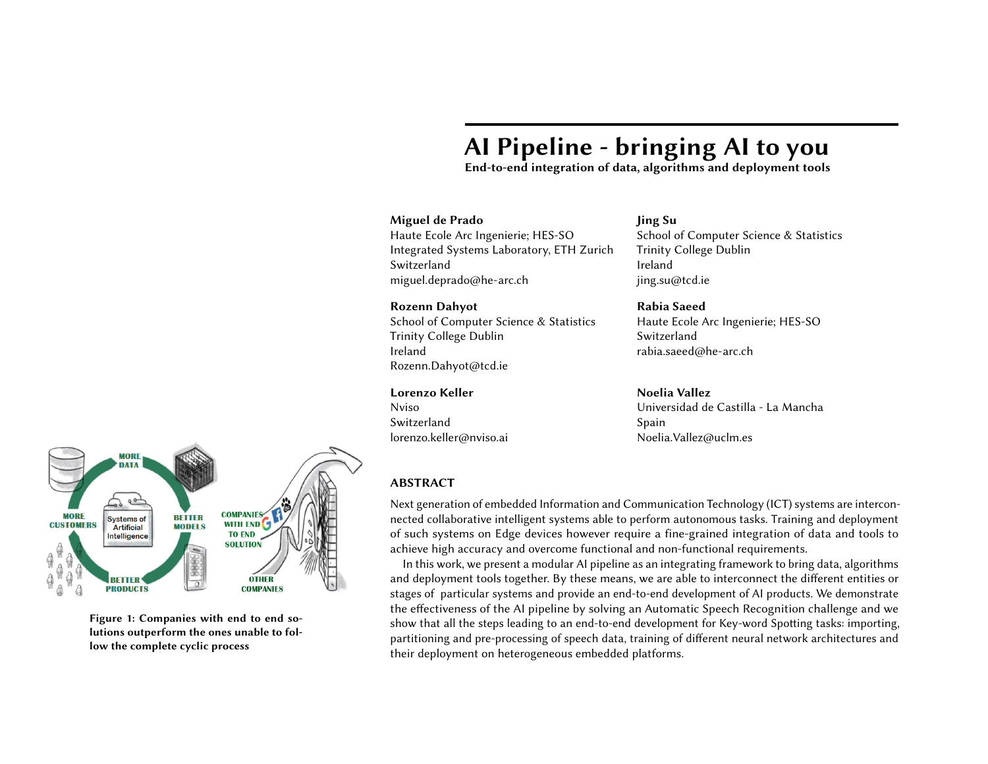

Figure 3: AI data collection and training pipeline



fragmented environments by covering three main concepts: tools, artifacts and workflows. Artifacts are the data elements that tools generate and consume. Workflows describe the tool that composed the pipelines and how to chain them to achieve a given goal. The AI pipeline relies on Docker containers [\[doc 2018\]](#page-8-4) to package all software dependencies needed to run a tool. In addition, a high-level HTTP API is defined to control the workflows and tools.

## KEYWORD SPOTTING PIPELINE (KWS)

<span id="page-2-0"></span>Our KWS pipeline contains 7 functional units:

Download and split Google speech commands dataset Import training and tests dataset Generate MFCC of training and test samples Train DNN models Benchmark DNN models Deployment optimization IoT integration

Next, we introduce and explain the main components of the AI pipeline for KWS.

# AI DATASET COLLECTION AND PREPARATION

This includes all steps needed to obtain and pre-process the data as needed for the training and benchmarking phases (Fig. [3\)](#page-2-0). The tool downloads the complete Google Speech Commands dataset [\[Spe](#page-8-5) [2017\]](#page-8-5) containing WAV files. The raw data is downloaded from the provider, parsed and standardized into HDF5 format files to comply with reusability and compatibility. Finally, data is partitioned into training, validation and benchmarking sets.

In case of training set, the import tool stores each WAV file together with sample ID and class label in one data tensor. This data tensor follows Bonseyes data format. Keyword labels are read from corresponding folder names. This single data tensor is used as input to the next tool. Validation set and test set can be imported in the same way.

# MFCC GENERATION AND KWS

<span id="page-2-1"></span>MFCC is a well-known audio feature for music and speech processing [\[Tzanetakis and Cook 2002\]](#page-8-6). In KWS pipeline, the feature generation tool produces MFCC features of each audio sample and saves MFCC features together with keyword labels and sample IDs in a HDF5 file. The Librosa library [\[McFee et al.](#page-8-7) [2015\]](#page-8-7) is adopted in this tool. Each output sample of MFCC contains 40 frequency bands in the spectrogram as well as 44 temporal windows per second. The generated MFCC features (training set and test set) can also be reused for training and benchmarking tools of new models. Fig. [4](#page-2-1) illustrates an audio signal and its MFCC features.

Figure 4: (a) Input Signal is converted to (b) MFCC feature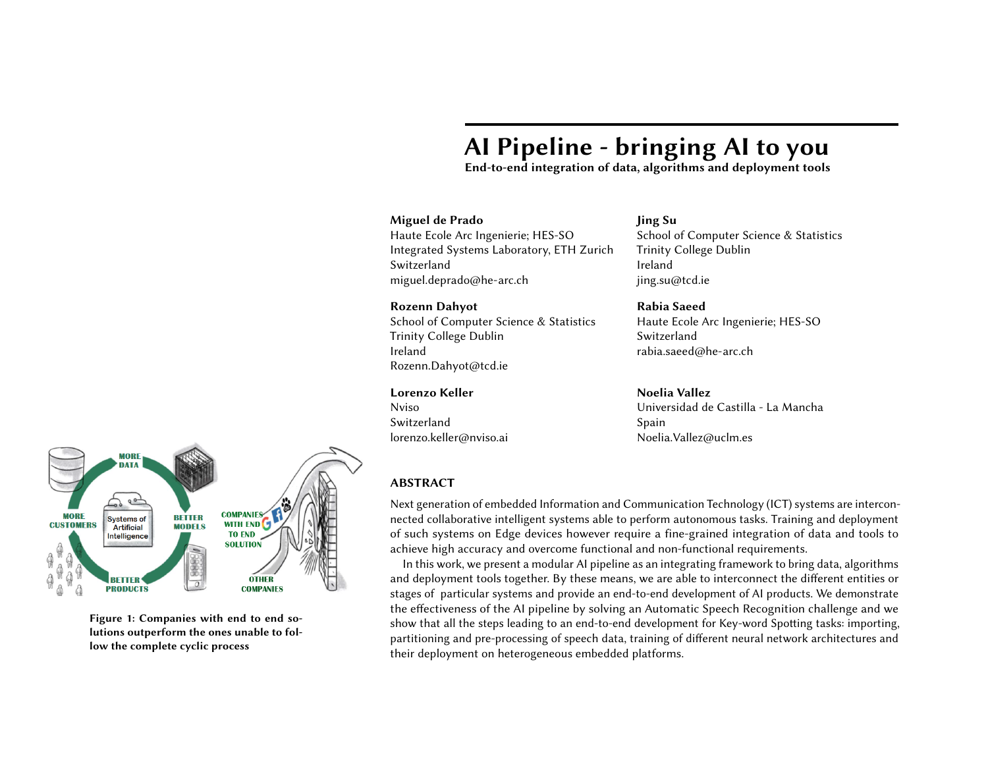| Layer             | Filter Shape | Stride | Padding |
|-------------------|--------------|--------|---------|
| Conv1             | 4 X 10 X 100 | 1 X 2  | 2 X5    |
| Conv <sub>2</sub> | 3 X 3 X 100  | 2 X 2  | 1 X 1   |
| Conv $3\,6$       | 3 X 3 X 100  | 1 X 1  | 1 X 1   |
| Pooling           | 21 X 12 X 1  |        |         |

Table 1: CNN model architecture in which Filter Shape follows (H x W x C), Stride follows (H x W) and Padding follows (H x W). H: Height, W: Width, C: Channel.

| Layer              | Filter Shape          | Stride | Padding |
|--------------------|-----------------------|--------|---------|
| Conv1              | 4 X 10 X 100 X 1      | 1 X 2  | 2 X 5   |
| $DS_Conv1(D)$      | 3 X 3 X 100 X 100     | 2 X 2  | 1 X 1   |
| $DS_Conv1(P)$      | $1$ X $1$ X $1$ X $1$ | 1 X 1  |         |
| $DS_{Conv2}$ 5 (D) | 3 X 3 X 100 X 100     | 1 X 1  | 1 X 1   |
| DS Conv2 $5(P)$    | $1$ X $1$ X $1$ X $1$ | 1 X 1  |         |
| Pooling            | 3 X 3 X 1 X 1         |        |         |

Table 2: DS\_CNN model architecture in which Filter Shape follows (H x W x C x G), Stride follows (H x W) and Padding follows (H x W). H: Height, W: Width, C: Channel, G: Group, D: Depthwise, P: Pointwise.

#### TRAINING AND BENCHMARKING

Three different KWS neural network architectures have been implemented to cross-compare accuracy, memory usage and inference time: Convolutional Neural Network (CNN), Depth-wise Separable CNN (DS-CNN) and Long short-term memory (LSTM) based network. The training procedures are defined in separate training tools to facilitate tools reusability and modularity. All training tools generate automatically both the training model and the solver definition files. These tools import the output generated in the MFCC generation step using the training dataset where the extracted MFCC features and labels are packed all together into an HDF5 file. Batch size and number of iterations can be specified in the workflow files that control the execution of the tools.

The flexibility of the dockerized training pipeline allows us to create additional tools that perform model optimizations during training such as quantization or sparsification. In this case, the new model can be trained from scratch using these optimizations or using a pre-trained model with a new training dataset to optimize and adapt the final model.

<span id="page-3-0"></span>A benchmarking tool has been built to validate the trained models. This tool takes two inputs: the MFCC features generated from the test dataset (HDF5 file) and the trained model. Inference is performed and the predicted classes are compared with the provided ground truth and the results are stored in a JSON file.

# Network Architectures

In order to build a model with small footprint, we choose a CNN architecture with six convolution layers, one average pooling layer and one output layer. More specifically, each convolution layer is followed by one batch normalization layer [\[Ioffe and Szegedy 2015\]](#page-8-8), one scale layer and one ReLU layer [\[Nair and Hinton 2010\]](#page-8-9). Output features of the pooling layer are flattened to one dimension before connecting with the output layer.

CNN model architecture is explained per layer in Table [1.](#page-3-0) We can see that the first convolution layer uses a non-square kernel of size 4 x 10. This kernel maps on 4 rows and 10 columns of a MFCC input image, which in turn refers to 4 frequency bands and 10 sampling windows. A 4 x 10 kernel has advantage in capturing power variation in a longer time period and narrower frequency bands. This setting complies with [\[Zhang et al.](#page-8-0) [2018\]](#page-8-0). In the following convolution layers (Conv2 Conv6) 3 x 3 square kernels are applied.

Depthwise Separable CNN (DS\_CNN) is introduced by [\[Howard et al.](#page-8-10) [2017\]](#page-8-10), and it is also applied for KWS. In this study, a DS\_CNN model has one basic convolution layer (Conv), five depthwise separable convolution layers (DS\_Conv), one average pooling layer and one output layer. A DS\_Conv layer is composed of a depthwise convolution layer and a pointwise convolution layer, each is followed by one normalization layer, one scale layer and one ReLU layer. Table [2](#page-3-0) explains parameter settings of the DS\_CNN model.

4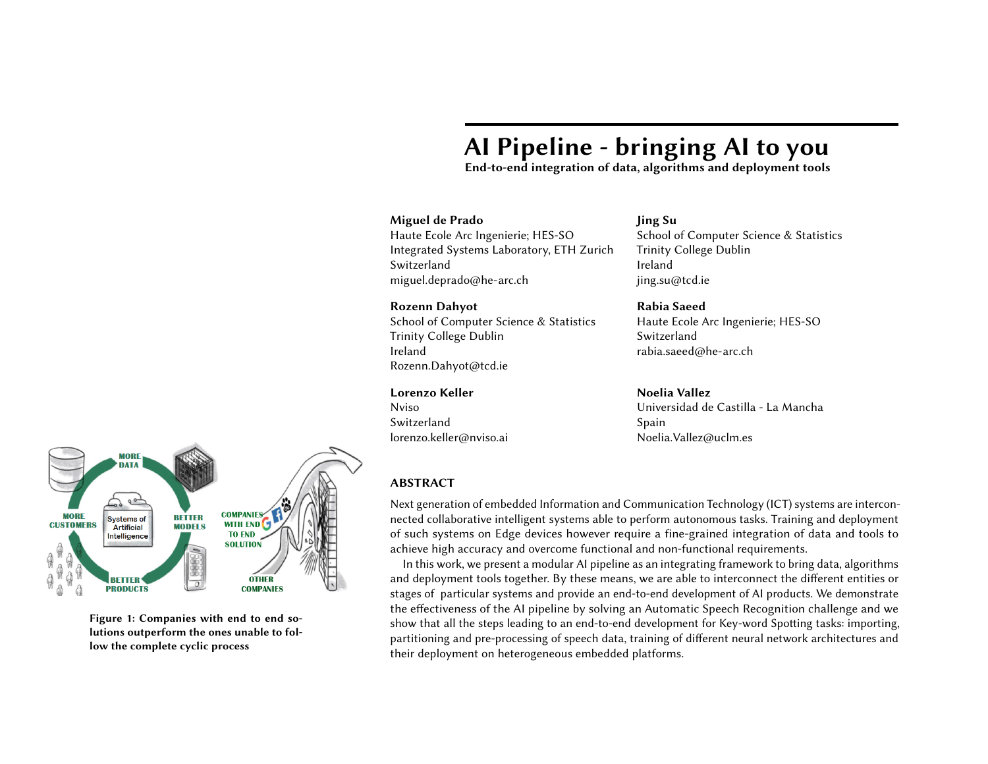

Figure 5: AI application can be executed by LPDNN or a 3rd party framework. Application can be deployed on one or several processing systems.



Figure 6: LPDNN. External libraries can be used to build optimized plugins using LPDNN Inference or can be used as selfcontained frameworks for AI applications.

#### Training Configurations

CNN and DS\_CNN models are trained using Bonseyes-Caffe. Training is carried out with multinomial logistic loss and Adam optimizer [\[Kingma and Ba 2015\]](#page-8-11) over a batch of 100 MFCC samples (since input sample size is 40 x 44, we opt to use a relatively big batch size). Each model is trained for 40K iterations following a multi-step training strategy. The initial learning rate is 5  $\,$  10  $^{\,3}.$  With every step of 10K iterations, learning rate drops to 30% of previous step.

## DEPLOYMENT OPTIMIZATION

# <span id="page-4-0"></span>LPDNN

LPDNN is an inference engine optimizer developed within the Bonseyes project to accelerate the deployment of neural networks on embedded devices [\[de Prado et al.](#page-8-12) [2018a\]](#page-8-12). In this work, we integrate LPDNN and its optimization capabilities into the AI pipeline to optimize the deployment of the trained KWS models for a specific embedded target platform, see Fig. [6.](#page-4-0) The overall goal of LPDNN is to provide a set of AI applications, e.g. detection, classification, recognition, which can be ported and optimized across heterogeneous platforms, e.g. CPU, GPU, FGPA, VPU, see Fig. [5.](#page-4-0) LPDNN features a complete development flow for users aiming to take up AI solutions on their systems:

Reference platforms support and Board Support Package (BSP) containing toolchains. A wide set of sample models e.g. Mobilenets, GoogleNet, VGG16, Resnets. Optimization tools such as model compression and design space exploration.

Integration of 3rd-party libraries.

Benchmarking tool at several levels of abstraction, e.g. layer, network and application.

In the heart of LPDNN, there is an inference module (LPDNN Inference) which generates code for the range of DNN models and across the span of heterogeneous platforms. LPDNN Inference provides compatibility with Caffe [\[Caf 2018\]](#page-8-13) and ONNX [\[onn 2017\]](#page-8-14) while improving the execution of trained deep networks on resource-constrained environments. LPDNN Inference provides a plugin-based architecture where a dependency-free inference core is complemented and built together with a set of plugins to produce optimized code for AI APPs, see Fig. [7.](#page-5-0) In addition, LPDNN supports the integration of 3rd-party libraries at two different levels:

Fine grain: developing a plugin at LPDNN Inference level for specific layers to accelerate the inference by calling optimized primitives of the library. Besides, several libraries can be combined or tuned to boost the performance of the network execution, e.g. BLAS, ARM-CL, cuDNN, etc. Coarse grain: as a self-contained framework at LPDNN level for AI APPs, e.g. TensorRT, TI-DL, NCNN, etc. External frameworks are included in LPDNN as certain embedded platforms provide their own specific and optimized framework to deploy DNNs on them.

5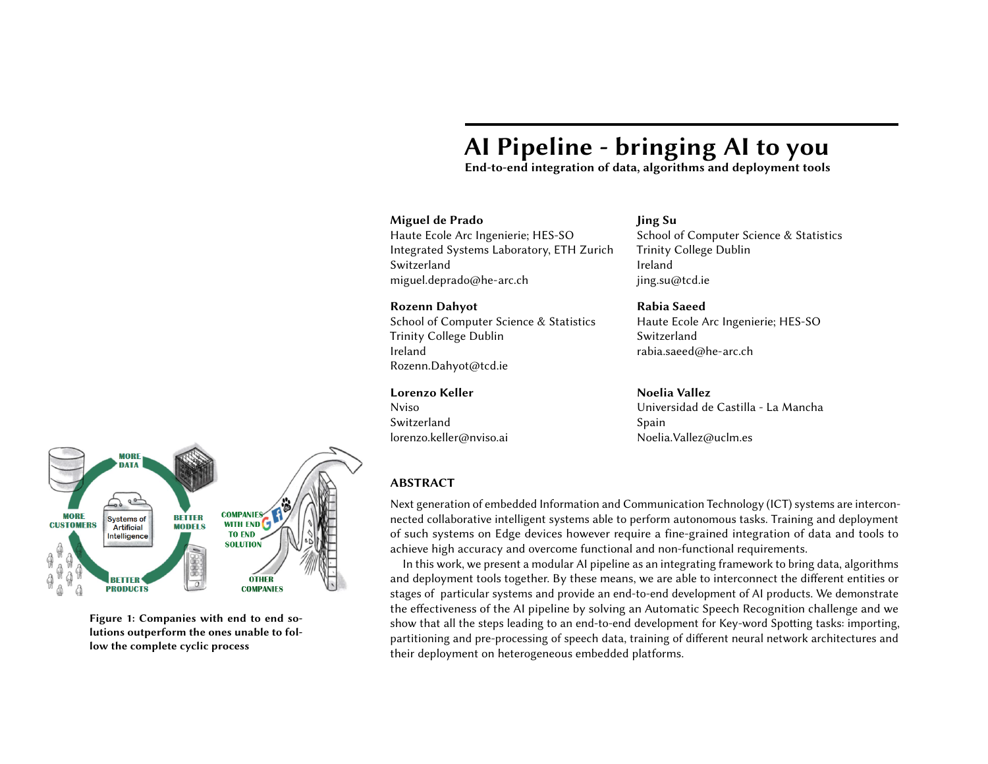

Figure 7: LPDNN Inference. Plugins can be included for specific layers which allows a broad design space exploration suited for the target platform and performance specifications.



Figure 8: Optimization can be achieved by deploying one or several layers on different processing systems based on their capabilities regarding latency, memory or accuracy. Colours match Fig. [5.](#page-4-0)

When building an AI application, LPDNN can redirect the flow to either Inference or to an external framework. Being able to integrate 3rd-party libraries and frameworks broadens the scope of LPDNN as by default, LPDNN can be at least as good as any other included framework.

In this work, LPDNN provides inference acceleration for the KWS architectures: CNN, DS-CNN and LSTM. CNNs can be accelerated by calling BLAS (CPU) or Cuda (GPU) routines which implement highly optimized matrix multiplication operations. DS-CNN improves the execution of standard CNN as it reduces the number of multiplication operations by dividing a normal convolution into two parts: depth-wise and point-wise convolution. LPDNN makes use of Arm-CL optimized routines to parallelize kernel execution of depth-wise convolutions [\[arm 2018\]](#page-8-15). LSTM (Long-Short Term Memory) is a variant of Recurrent Neural Networks (RNN). These networks implement a memory state so as to predict results based on current and previous inputs. LPDNN supports time-series inputs and LSTM layers with multi-gated units, see Fig. [9.](#page-6-0)

#### <span id="page-5-0"></span>Heterogeneous computing

A main factor for LPDNN is performance portability across the wide span of hardware platforms. The plugin-based architecture maintains a small and portable core while supporting a wide range of heterogeneous platforms including CPUs, GPUs, DSPs, VPUs and Accelerators. Certain computing processors may provide better performance for specific tasks depending on the model architecture, data type and layout which brings a design exploration problem, see Fig. [8.](#page-5-1)

## Network Space Exploration

<span id="page-5-1"></span>We propose a learning-based approach called QS-DNN [\[de Prado et al.](#page-8-16) [2018b\]](#page-8-16) where an agent explores through the design space, e.g. network deployment, across heterogeneous platforms to find an optimal implementation by selecting optimal per-layer configuration as well as cross-layer optimizations. The agent's aim is to learn an optimized path through a set states S i.e. layer representations, employing a set of actions A i.e. layer implementations. Neural networks can be further compressed through approximation. A quantization engine is integrated within LPDNN which analyzes the sensitivity of each layer to quantization and performs a Neural Network Design Exploration.

# IoT INTEGRATION

Generally, AI enabled systems are part of a broader application and service ecosystem that supports a value chain. The integration of AI enabled systems into an IoT ecosystem is of particular interest when it comes to resource-constrained systems. This type of integration backs two major scenarios which are relevant for Automatic Speech Recognition in low-power and autonomous environments e.g. Automotive, Medical Health Care and Consumer Electronics.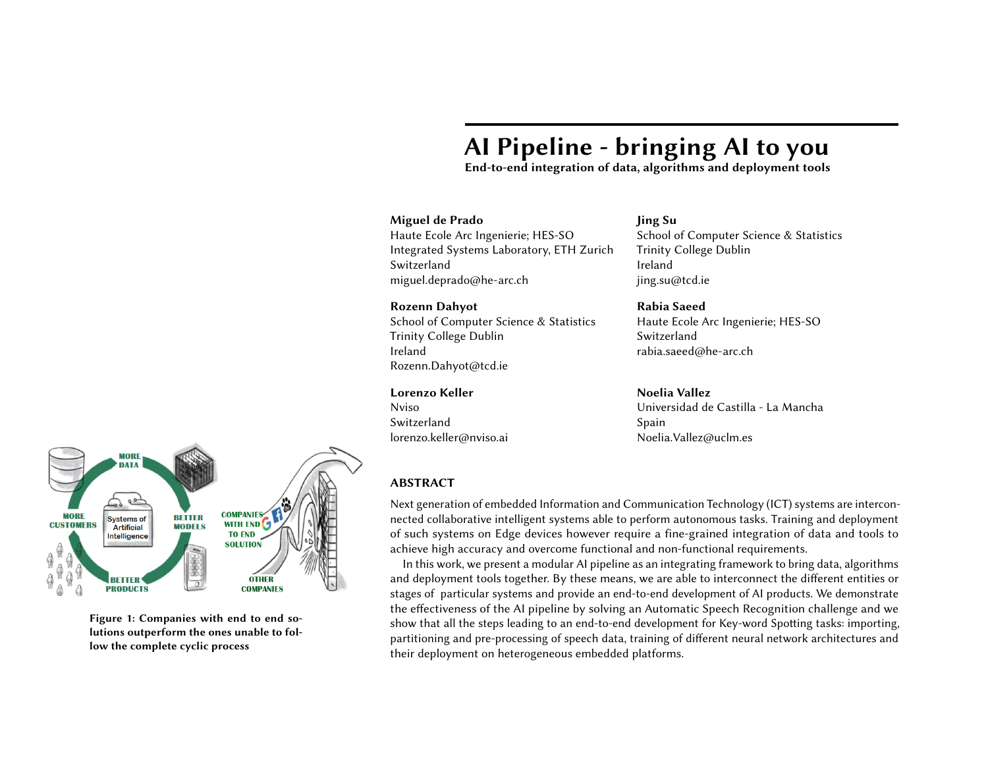

Figure 9: Memory of LSTM comes from the feedback mechanism. The output of each time step  $h_t$  along with the cell state  $C_t$ are used as an input in the next time step. A single LSTM cell (shown above) consists of 3 gates (input, output and forget gate), used to exploit the system's memory [\[Hochreiter and Schmidhuber 1997\]](#page-8-17). Apart from the conventional data input  $X1_t$ , an indicator  $X2_t$  to specify the start of a new time series is also required.

#### **FIWARE ENABLERS**

**FIWARE ENABLERS** 



#### Edge-processing

Speech data are processed on the embedded AI device and results are retrieved and stored in the cloud for further processing and exploitation, see Fig. [10-](#page-6-0)A. Since the amount of data that should be dealt with can be large, the use of IoT architectures as an integration mechanism is highly relevant.

## <span id="page-6-0"></span>Cloud-processing

Part of the computation steps in the embedded system is delegated to server- or cloud-based AI engines. This scenario can be of great interest for constrained systems when their resources are not able to offer enough computational power to execute AI algorithms, see Fig. [10-](#page-6-0)B. IoT architectures offer an elegant solution for this integration to many distributed and diversified AI systems which can notably benefit from such integration.

Bonseyes relies on the FIWARE platform [\[fiw 2018\]](#page-8-18) for the implementation of the integration pipeline. For the integration of both scenarios, we use a set of FIWARE Generic Enablers not only to exchange data between different enablers but also to manage embedded AI systems as IoT agents. In addition, the second scenario requires the use of Kurento Media Server in order to seamlessly transfer media contents from the embedded AI platforms to the cloud computing infrastructure.

#### RESULTS AND DISCUSSION

Table [4](#page-7-0) shows benchmark scores of CNN models and DS\_CNN models trained with Bonseyes-Caffe [\[bon 2018\]](#page-8-19) for KWS. The test set contains 2567 audio samples which are recorded from totally different speakers of the training samples. After 40K iterations training (batch size 100), CNN model marks 94.23% accuracy on test set and the model size is 1.8 MB. DS\_CNN model marks 90.65% accuracy and the model size is 1 MB. With current hyper-parameter settings, DS\_CNN is 4% less accurate than CNN, but its model size is about half of CNN. According to Zhang et al.[\[Zhang et al.](#page-8-0) [2018\]](#page-8-0), DS CNN has potential to be more accurate and we will refine this model. The encouraging aspects come from quantization  $(Q)$  and sparsification  $(S)$  functions. On both CNN and DS\_CNN,  $Q$  and S have minor disadvantage (< <sup>0</sup>.7% loss) on test accuracy. However, 16-bit quantization can save half memory space (here we use 32-bit space to save a quantized model). An S model can be faster than original version. A  $Q+S$  model is more accurate than an S model. In this work, we have decided to build a small footprint KWS model in the pipeline to ease the deployment on edge devices and easy adoption of customer-owned data.

LPDNN brings further optimization to trained models by generating specific and optimized code for the platform where the model is to be deployed. By searching through the Network Design Space when the model is deployed on a platform, we can find a suitable set of primitives that optimize inference on the platform. Table [3](#page-7-1) shows the improvement in performance of QS-DNN (LPDNN

Figure 10: Bonseyes relies on the FIWARE platform [\[fiw 2018\]](#page-8-18) for the implementation of the integration pipeline.

7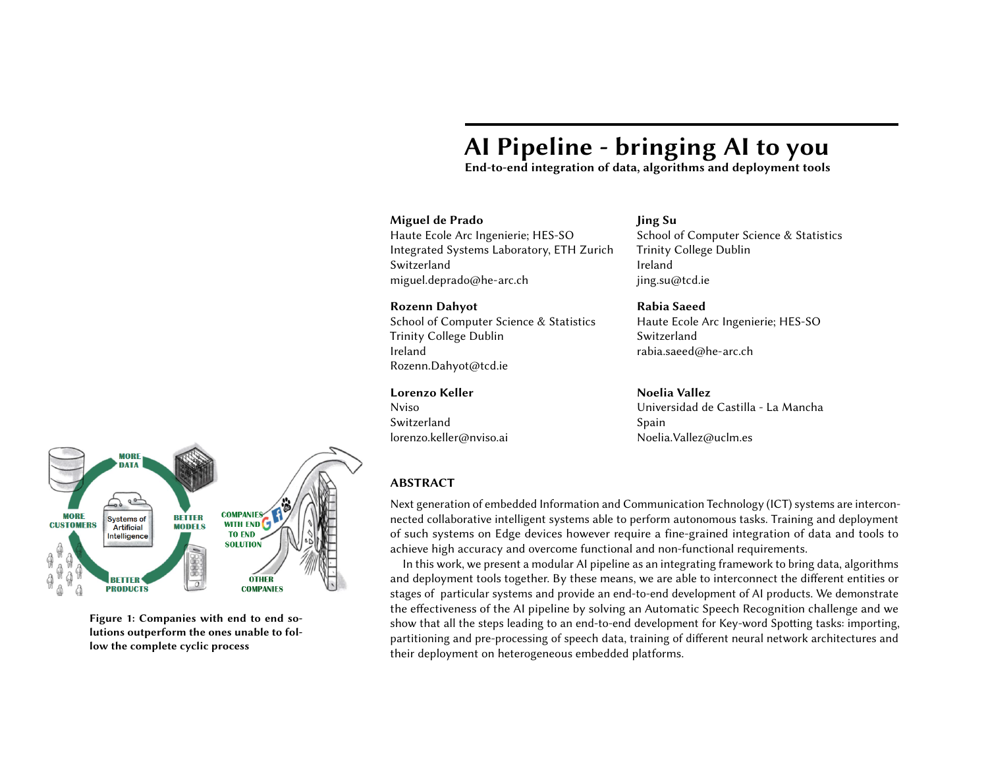| Model            | Acc    | Sparsity | Size    |
|------------------|--------|----------|---------|
| CNN              | 94.23% | $0\%$    | 1832 KB |
| $CNN + Q$        | 94.04% | $0\%$    | 1835 KB |
| $CNN + S$        | 93.69% | 39.6%    | 1832 KB |
| $CNN + Q + S$    | 94.27% | 39.8%    | 1835 KB |
| DS CNN           | 90.65% | $0\%$    | 1017 KB |
| DS $CNN + Q$     | 90.62% | $0\%$    | 1021 KB |
| DS $CNN + S$     | 89.96% | 27.9%    | 1017 KB |
| DS $CNN + Q + S$ | 90.19% | 27.7%    | 1021 KB |

Table 4: Benchmark of the trained CNN models. Q:Quantization (16-bit), S: Sparsification, Acc: Accuracy on test set.

<span id="page-7-1"></span>Mobile-**MobileNet** MobileNet | MobileNet Processor Method LeNet-5 AlexNet SqueezeNet GoogleNet Resnet32 **VGG19**  $v2$ FaceNet  $v1$ v1 SSD OpenBLAS  $1x$  $1x$  $1x$  $1x$  $1x$  $1x$  $1x$  $1x$  $1x$  $1x$ **NNPACK** 1,09x 0,66x  $0,95x$  $0,77x$  $0,87x$ 1,06x  $0,79x$  $1,54x$  $0,85x$  $0,75x$  $0,95x$ ArmCL  $0,82x$  $0,99x$  $1x$ 1,06x  $1,11x$  $0,97x$  $1x$  $1,11x$ 1,02x **GPGPU cuDNN**  $0,53x$  $5,13x$  $1,62x$  $9,37x$ 8,85x  $1,27x$  $1,89x$  $1,4x$  $1,28x$  $3,94x$ 

 $0,71x$ 

 $1,73x$ 

 $0,76x$ 

11,25x

 $1,33x$ 

 $5,33x$ 

 $2,04x$ 

26,67x

 $1,26x$ 

 $2,29x$ 

 $1x$ 

1,81x

optimizer) when a RL-based agent is set to learn an optimal implementation by selecting a suitable combination of primitives per-layer:

Table 3: Inference time speedup of a GPGPU-based platform respect to OpenBLAS. Results correspond to most performing libraries employing their fastest primitive for single-thread and 32-bit FLT operations. QS-DNN shows the improvement of the search and clearly outperforms Random Search (RS) [\[de Prado et al. 2018b\]](#page-8-16).

 $1,13x$ 

 $2,3x$ 

#### <span id="page-7-0"></span>CONCLUSION AND FUTURE WORK

 $1,55x$ 

 $1,69x$ 

RS

QS-DNN

1,66x

 $11,5x$ 

 $1,03x$ 

 $5,13x$ 

We have presented an AI pipeline to solve the Automatic Speech Recognition challenge. We have integrated a Key-word Spotting (KWS) system into the AI pipeline which addresses the current fragmentation of data, algorithms, hardware platforms and IoT services for building systems of Artificial Intelligence. The AI pipeline allows to link consecutive tasks by packaging the tools and dependencies and providing interconnectability between them. We have demonstrated the effectiveness of the pipeline by showing an end-to-end system to collect data, train and benchmark 3 different neural networks achieving up to 94% accuracy for KWS tasks.

We aim to extend the current status of the work for KWS by finalizing training of LSTM-based model and the last two steps of the pipeline: deployment optimization and IoT integration for KWS models. Thereon, we envision to fully optimize and deploy the trained models on low-power or IoT devices that can be employed for applications such as: healthcare sensing, wearable systems or car-driving assistant.

#### ACKNOWLEDGMENTS

This project has received funding from the European Union's Horizon 2020 research and innovation programme under grant agreement No 732204 (Bonseyes). This work is supported by the Swiss State Secretariat for Education, Research and Innovation (SERI) under contract number 16.0159. The opinions expressed and arguments employed herein do not necessarily reflect the official views of these funding bodies.